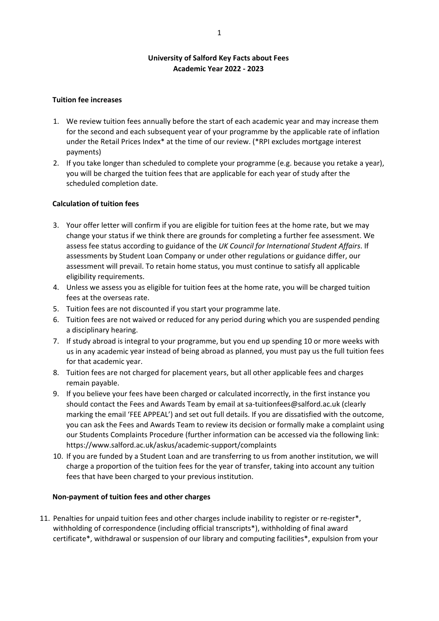## **University of Salford Key Facts about Fees Academic Year 2022 ‐ 2023**

#### **Tuition fee increases**

- 1. We review tuition fees annually before the start of each academic year and may increase them for the second and each subsequent year of your programme by the applicable rate of inflation under the Retail Prices Index\* at the time of our review. (\*RPI excludes mortgage interest payments)
- 2. If you take longer than scheduled to complete your programme (e.g. because you retake a year), you will be charged the tuition fees that are applicable for each year of study after the scheduled completion date.

## **Calculation of tuition fees**

- 3. Your offer letter will confirm if you are eligible for tuition fees at the home rate, but we may change your status if we think there are grounds for completing a further fee assessment. We assess fee status according to guidance of the *UK Council for International Student Affairs*. If assessments by Student Loan Company or under other regulations or guidance differ, our assessment will prevail. To retain home status, you must continue to satisfy all applicable eligibility requirements.
- 4. Unless we assess you as eligible for tuition fees at the home rate, you will be charged tuition fees at the overseas rate.
- 5. Tuition fees are not discounted if you start your programme late.
- 6. Tuition fees are not waived or reduced for any period during which you are suspended pending a disciplinary hearing.
- 7. If study abroad is integral to your programme, but you end up spending 10 or more weeks with us in any academic year instead of being abroad as planned, you must pay us the full tuition fees for that academic year.
- 8. Tuition fees are not charged for placement years, but all other applicable fees and charges remain payable.
- 9. If you believe your fees have been charged or calculated incorrectly, in the first instance you should contact the Fees and Awards Team by email at sa-tuitionfees@salford.ac.uk (clearly marking the email 'FEE APPEAL') and set out full details. If you are dissatisfied with the outcome, you can ask the Fees and Awards Team to review its decision or formally make a complaint using our Students Complaints Procedure (further information can be accessed via the following link: https://www.salford.ac.uk/askus/academic‐support/complaints
- 10. If you are funded by a Student Loan and are transferring to us from another institution, we will charge a proportion of the tuition fees for the year of transfer, taking into account any tuition fees that have been charged to your previous institution.

#### **Non‐payment of tuition fees and other charges**

11. Penalties for unpaid tuition fees and other charges include inability to register or re-register\*, withholding of correspondence (including official transcripts\*), withholding of final award certificate\*, withdrawal or suspension of our library and computing facilities\*, expulsion from your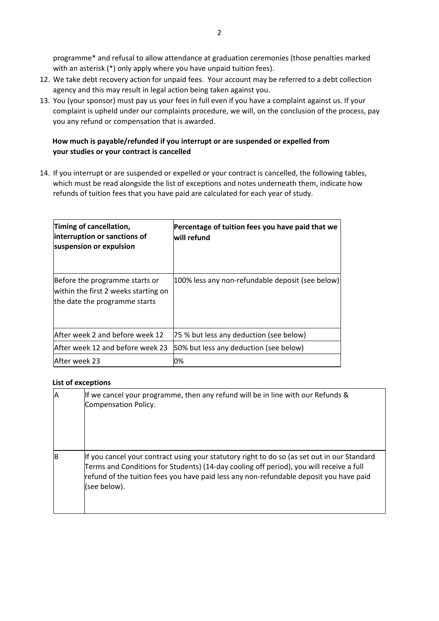programme\* and refusal to allow attendance at graduation ceremonies (those penalties marked with an asterisk (\*) only apply where you have unpaid tuition fees).

- 12. We take debt recovery action for unpaid fees. Your account may be referred to a debt collection agency and this may result in legal action being taken against you.
- 13. You (your sponsor) must pay us your fees in full even if you have a complaint against us. If your complaint is upheld under our complaints procedure, we will, on the conclusion of the process, pay you any refund or compensation that is awarded.

# **How much is payable/refunded if you interrupt or are suspended or expelled from your studies or your contract is cancelled**

14. If you interrupt or are suspended or expelled or your contract is cancelled, the following tables, which must be read alongside the list of exceptions and notes underneath them, indicate how refunds of tuition fees that you have paid are calculated for each year of study.

| Timing of cancellation,<br>interruption or sanctions of<br>suspension or expulsion                      | Percentage of tuition fees you have paid that we<br>will refund |
|---------------------------------------------------------------------------------------------------------|-----------------------------------------------------------------|
| Before the programme starts or<br>within the first 2 weeks starting on<br>the date the programme starts | 100% less any non-refundable deposit (see below)                |
| After week 2 and before week 12                                                                         | 75 % but less any deduction (see below)                         |
| lAfter week 12 and before week 23                                                                       | 50% but less any deduction (see below)                          |
| After week 23                                                                                           | 0%                                                              |

## **List of exceptions**

| Α | If we cancel your programme, then any refund will be in line with our Refunds &<br>Compensation Policy.                                                                                                                                                                                          |
|---|--------------------------------------------------------------------------------------------------------------------------------------------------------------------------------------------------------------------------------------------------------------------------------------------------|
| B | If you cancel your contract using your statutory right to do so (as set out in our Standard<br>Terms and Conditions for Students) (14-day cooling off period), you will receive a full<br>refund of the tuition fees you have paid less any non-refundable deposit you have paid<br>(see below). |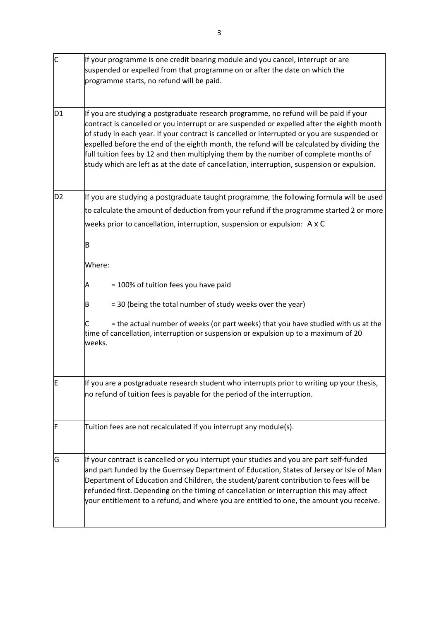| $\overline{\mathsf{C}}$ | If your programme is one credit bearing module and you cancel, interrupt or are<br>suspended or expelled from that programme on or after the date on which the<br>programme starts, no refund will be paid.                                                                                                                                                                                                                                                                                                                                                              |
|-------------------------|--------------------------------------------------------------------------------------------------------------------------------------------------------------------------------------------------------------------------------------------------------------------------------------------------------------------------------------------------------------------------------------------------------------------------------------------------------------------------------------------------------------------------------------------------------------------------|
| D1                      | If you are studying a postgraduate research programme, no refund will be paid if your<br>contract is cancelled or you interrupt or are suspended or expelled after the eighth month<br>of study in each year. If your contract is cancelled or interrupted or you are suspended or<br>expelled before the end of the eighth month, the refund will be calculated by dividing the<br>full tuition fees by 12 and then multiplying them by the number of complete months of<br>study which are left as at the date of cancellation, interruption, suspension or expulsion. |
| D <sub>2</sub>          | If you are studying a postgraduate taught programme, the following formula will be used                                                                                                                                                                                                                                                                                                                                                                                                                                                                                  |
|                         | to calculate the amount of deduction from your refund if the programme started 2 or more<br>weeks prior to cancellation, interruption, suspension or expulsion: A x C                                                                                                                                                                                                                                                                                                                                                                                                    |
|                         |                                                                                                                                                                                                                                                                                                                                                                                                                                                                                                                                                                          |
|                         | B                                                                                                                                                                                                                                                                                                                                                                                                                                                                                                                                                                        |
|                         | Where:                                                                                                                                                                                                                                                                                                                                                                                                                                                                                                                                                                   |
|                         | = 100% of tuition fees you have paid<br>Α                                                                                                                                                                                                                                                                                                                                                                                                                                                                                                                                |
|                         | = 30 (being the total number of study weeks over the year)<br>B                                                                                                                                                                                                                                                                                                                                                                                                                                                                                                          |
|                         | = the actual number of weeks (or part weeks) that you have studied with us at the<br>time of cancellation, interruption or suspension or expulsion up to a maximum of 20<br>weeks.                                                                                                                                                                                                                                                                                                                                                                                       |
| F                       | If you are a postgraduate research student who interrupts prior to writing up your thesis,                                                                                                                                                                                                                                                                                                                                                                                                                                                                               |
|                         | no refund of tuition fees is payable for the period of the interruption.                                                                                                                                                                                                                                                                                                                                                                                                                                                                                                 |
| F                       | Tuition fees are not recalculated if you interrupt any module(s).                                                                                                                                                                                                                                                                                                                                                                                                                                                                                                        |
| G                       | If your contract is cancelled or you interrupt your studies and you are part self-funded<br>and part funded by the Guernsey Department of Education, States of Jersey or Isle of Man<br>Department of Education and Children, the student/parent contribution to fees will be<br>refunded first. Depending on the timing of cancellation or interruption this may affect<br>your entitlement to a refund, and where you are entitled to one, the amount you receive.                                                                                                     |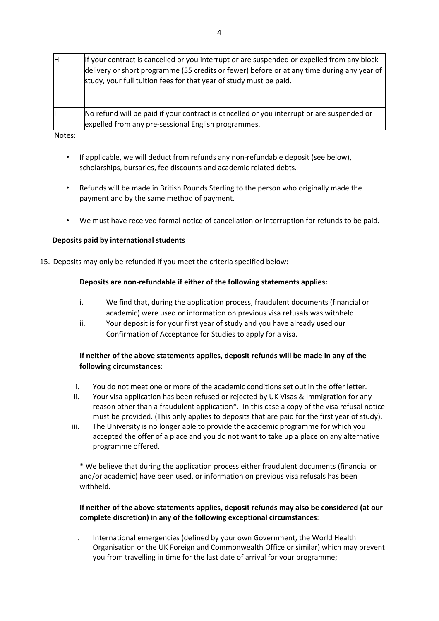| lн | If your contract is cancelled or you interrupt or are suspended or expelled from any block<br>delivery or short programme (55 credits or fewer) before or at any time during any year of<br>study, your full tuition fees for that year of study must be paid. |
|----|----------------------------------------------------------------------------------------------------------------------------------------------------------------------------------------------------------------------------------------------------------------|
|    | No refund will be paid if your contract is cancelled or you interrupt or are suspended or<br>expelled from any pre-sessional English programmes.                                                                                                               |

Notes:

- If applicable, we will deduct from refunds any non-refundable deposit (see below), scholarships, bursaries, fee discounts and academic related debts.
- Refunds will be made in British Pounds Sterling to the person who originally made the payment and by the same method of payment.
- We must have received formal notice of cancellation or interruption for refunds to be paid.

## **Deposits paid by international students**

15. Deposits may only be refunded if you meet the criteria specified below:

## **Deposits are non‐refundable if either of the following statements applies:**

- i. We find that, during the application process, fraudulent documents (financial or academic) were used or information on previous visa refusals was withheld.
- ii. Your deposit is for your first year of study and you have already used our Confirmation of Acceptance for Studies to apply for a visa.

## **If neither of the above statements applies, deposit refunds will be made in any of the following circumstances**:

- i. You do not meet one or more of the academic conditions set out in the offer letter.
- ii. Your visa application has been refused or rejected by UK Visas & Immigration for any reason other than a fraudulent application\*. In this case a copy of the visa refusal notice must be provided. (This only applies to deposits that are paid for the first year of study).
- iii. The University is no longer able to provide the academic programme for which you accepted the offer of a place and you do not want to take up a place on any alternative programme offered.

\* We believe that during the application process either fraudulent documents (financial or and/or academic) have been used, or information on previous visa refusals has been withheld.

## **If neither of the above statements applies, deposit refunds may also be considered (at our complete discretion) in any of the following exceptional circumstances**:

i. International emergencies (defined by your own Government, the World Health Organisation or the UK Foreign and Commonwealth Office or similar) which may prevent you from travelling in time for the last date of arrival for your programme;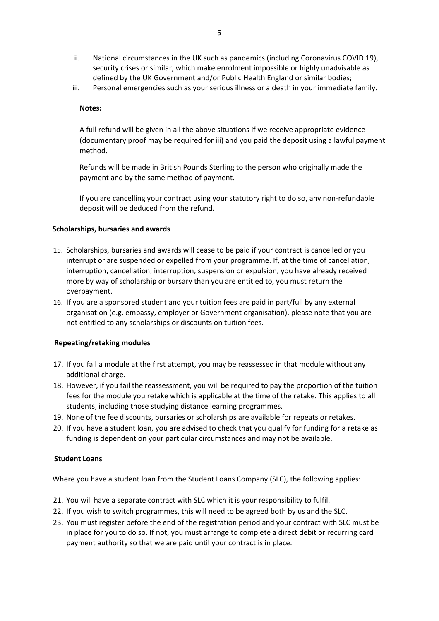- ii. National circumstances in the UK such as pandemics (including Coronavirus COVID 19), security crises or similar, which make enrolment impossible or highly unadvisable as defined by the UK Government and/or Public Health England or similar bodies;
- iii. Personal emergencies such as your serious illness or a death in your immediate family.

### **Notes:**

A full refund will be given in all the above situations if we receive appropriate evidence (documentary proof may be required for iii) and you paid the deposit using a lawful payment method.

Refunds will be made in British Pounds Sterling to the person who originally made the payment and by the same method of payment.

If you are cancelling your contract using your statutory right to do so, any non‐refundable deposit will be deduced from the refund.

#### **Scholarships, bursaries and awards**

- 15. Scholarships, bursaries and awards will cease to be paid if your contract is cancelled or you interrupt or are suspended or expelled from your programme. If, at the time of cancellation, interruption, cancellation, interruption, suspension or expulsion, you have already received more by way of scholarship or bursary than you are entitled to, you must return the overpayment.
- 16. If you are a sponsored student and your tuition fees are paid in part/full by any external organisation (e.g. embassy, employer or Government organisation), please note that you are not entitled to any scholarships or discounts on tuition fees.

## **Repeating/retaking modules**

- 17. If you fail a module at the first attempt, you may be reassessed in that module without any additional charge.
- 18. However, if you fail the reassessment, you will be required to pay the proportion of the tuition fees for the module you retake which is applicable at the time of the retake. This applies to all students, including those studying distance learning programmes.
- 19. None of the fee discounts, bursaries or scholarships are available for repeats or retakes.
- 20. If you have a student loan, you are advised to check that you qualify for funding for a retake as funding is dependent on your particular circumstances and may not be available.

## **Student Loans**

Where you have a student loan from the Student Loans Company (SLC), the following applies:

- 21. You will have a separate contract with SLC which it is your responsibility to fulfil.
- 22. If you wish to switch programmes, this will need to be agreed both by us and the SLC.
- 23. You must register before the end of the registration period and your contract with SLC must be in place for you to do so. If not, you must arrange to complete a direct debit or recurring card payment authority so that we are paid until your contract is in place.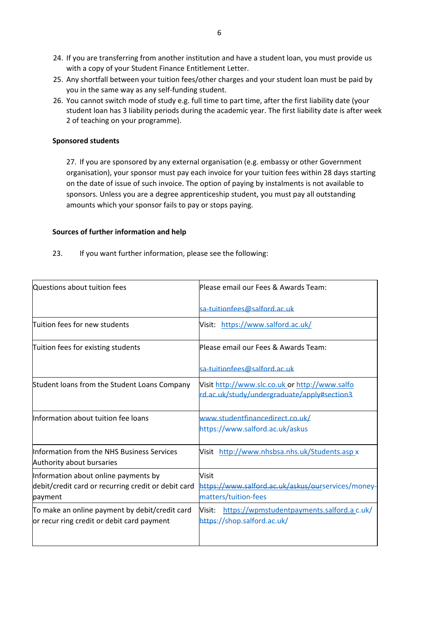- 24. If you are transferring from another institution and have a student loan, you must provide us with a copy of your Student Finance Entitlement Letter.
- 25. Any shortfall between your tuition fees/other charges and your student loan must be paid by you in the same way as any self‐funding student.
- 26. You cannot switch mode of study e.g. full time to part time, after the first liability date (your student loan has 3 liability periods during the academic year. The first liability date is after week 2 of teaching on your programme).

### **Sponsored students**

27. If you are sponsored by any external organisation (e.g. embassy or other Government organisation), your sponsor must pay each invoice for your tuition fees within 28 days starting on the date of issue of such invoice. The option of paying by instalments is not available to sponsors. Unless you are a degree apprenticeship student, you must pay all outstanding amounts which your sponsor fails to pay or stops paying.

#### **Sources of further information and help**

23. If you want further information, please see the following:

| Questions about tuition fees                                                                           | lPlease email our Fees & Awards Team:                                                         |
|--------------------------------------------------------------------------------------------------------|-----------------------------------------------------------------------------------------------|
|                                                                                                        | sa-tuitionfees@salford.ac.uk                                                                  |
| Tuition fees for new students                                                                          | Visit: https://www.salford.ac.uk/                                                             |
| Tuition fees for existing students                                                                     | lPlease email our Fees & Awards Team:                                                         |
|                                                                                                        | sa-tuitionfees@salford.ac.uk                                                                  |
| Student loans from the Student Loans Company                                                           | Visit http://www.slc.co.uk or http://www.salfo<br>rd.ac.uk/study/undergraduate/apply#section3 |
| Information about tuition fee loans                                                                    | www.studentfinancedirect.co.uk/<br>https://www.salford.ac.uk/askus                            |
| Information from the NHS Business Services<br>Authority about bursaries                                | Visit http://www.nhsbsa.nhs.uk/Students.asp x                                                 |
| Information about online payments by<br>debit/credit card or recurring credit or debit card<br>payment | <b>Visit</b><br>https://www.salford.ac.uk/askus/ourservices/money-<br>matters/tuition-fees    |
| To make an online payment by debit/credit card<br>or recur ring credit or debit card payment           | https://wpmstudentpayments.salford.a.c.uk/<br>Visit:<br>https://shop.salford.ac.uk/           |